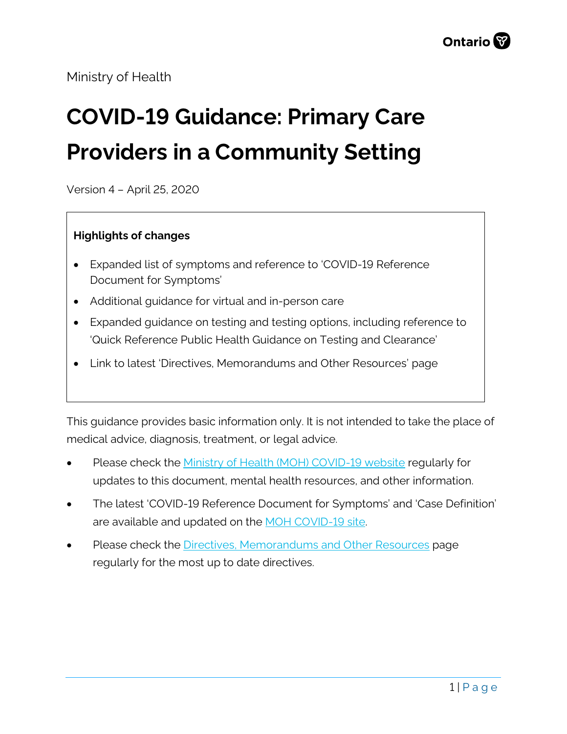Ministry of Health

# **COVID-19 Guidance: Primary Care Providers in a Community Setting**

Version 4 – April 25, 2020

#### **Highlights of changes**

- Expanded list of symptoms and reference to 'COVID-19 Reference Document for Symptoms'
- Additional guidance for virtual and in-person care
- Expanded guidance on testing and testing options, including reference to 'Quick Reference Public Health Guidance on Testing and Clearance'
- Link to latest 'Directives, Memorandums and Other Resources' page

This guidance provides basic information only. It is not intended to take the place of medical advice, diagnosis, treatment, or legal advice.

- Please check the [Ministry of Health \(MOH\) COVID-19 website](http://www.health.gov.on.ca/en/pro/programs/publichealth/coronavirus/2019_guidance.aspx) regularly for updates to this document, mental health resources, and other information.
- The latest 'COVID-19 Reference Document for Symptoms' and 'Case Definition' are available and updated on the [MOH COVID-19 site.](http://www.health.gov.on.ca/en/pro/programs/publichealth/coronavirus/2019_guidance.aspx)
- Please check the **Directives**, Memorandums and Other Resources page regularly for the most up to date directives.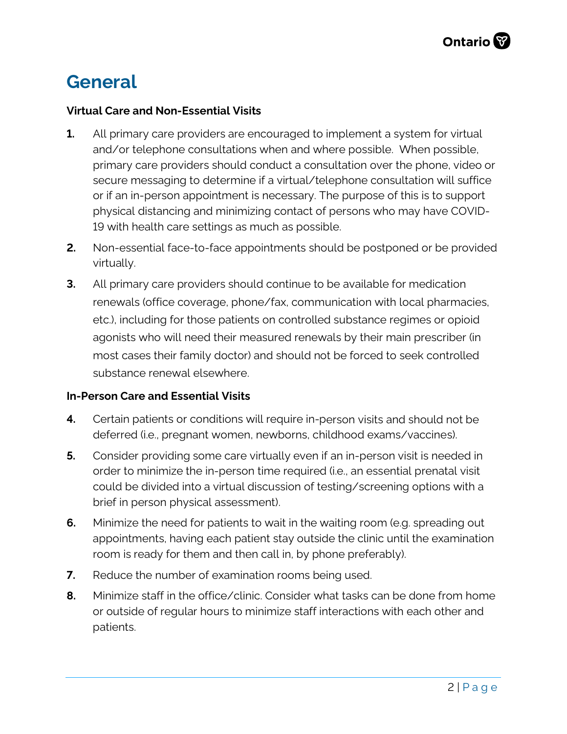### **General**

#### **Virtual Care and Non-Essential Visits**

- **1.** All primary care providers are encouraged to implement a system for virtual and/or telephone consultations when and where possible. When possible, primary care providers should conduct a consultation over the phone, video or secure messaging to determine if a virtual/telephone consultation will suffice or if an in-person appointment is necessary. The purpose of this is to support physical distancing and minimizing contact of persons who may have COVID-19 with health care settings as much as possible.
- **2.** Non-essential face-to-face appointments should be postponed or be provided virtually.
- **3.** All primary care providers should continue to be available for medication renewals (office coverage, phone/fax, communication with local pharmacies, etc.), including for those patients on controlled substance regimes or opioid agonists who will need their measured renewals by their main prescriber (in most cases their family doctor) and should not be forced to seek controlled substance renewal elsewhere.

#### **In-Person Care and Essential Visits**

- **4.** Certain patients or conditions will require in-person visits and should not be deferred (i.e., pregnant women, newborns, childhood exams/vaccines).
- **5.** Consider providing some care virtually even if an in-person visit is needed in order to minimize the in-person time required (i.e., an essential prenatal visit could be divided into a virtual discussion of testing/screening options with a brief in person physical assessment).
- **6.** Minimize the need for patients to wait in the waiting room (e.g. spreading out appointments, having each patient stay outside the clinic until the examination room is ready for them and then call in, by phone preferably).
- **7.** Reduce the number of examination rooms being used.
- **8.** Minimize staff in the office/clinic. Consider what tasks can be done from home or outside of regular hours to minimize staff interactions with each other and patients.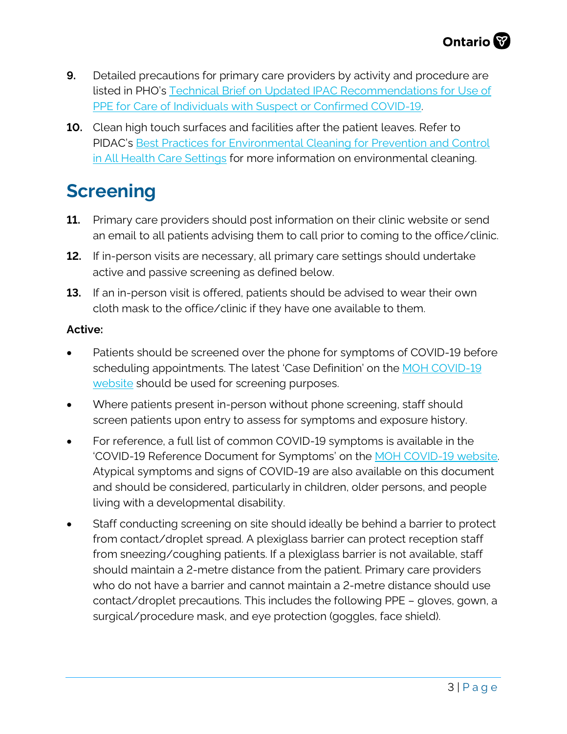- **9.** Detailed precautions for primary care providers by activity and procedure are listed in PHO's [Technical Brief on Updated IPAC Recommendations for Use of](https://www.publichealthontario.ca/en/diseases-and-conditions/infectious-diseases/respiratory-diseases/novel-coronavirus/health-care-resources) [PPE for Care of Individuals with Suspect or Confirmed COVID-19.](https://www.publichealthontario.ca/en/diseases-and-conditions/infectious-diseases/respiratory-diseases/novel-coronavirus/health-care-resources)
- **10.** Clean high touch surfaces and facilities after the patient leaves. Refer to PIDAC's [Best Practices for Environmental Cleaning for Prevention and Control](https://www.publichealthontario.ca/en/health-topics/infection-prevention-control/environmental-cleaning) [in All Health Care Settings](https://www.publichealthontario.ca/en/health-topics/infection-prevention-control/environmental-cleaning) for more information on environmental cleaning.

### **Screening**

- **11.** Primary care providers should post information on their clinic website or send an email to all patients advising them to call prior to coming to the office/clinic.
- **12.** If in-person visits are necessary, all primary care settings should undertake active and passive screening as defined below.
- **13.** If an in-person visit is offered, patients should be advised to wear their own cloth mask to the office/clinic if they have one available to them.

#### **Active:**

- Patients should be screened over the phone for symptoms of COVID-19 before scheduling appointments. The latest 'Case Definition' on the [MOH COVID-19](http://www.health.gov.on.ca/en/pro/programs/publichealth/coronavirus/2019_guidance.aspx) [website](http://www.health.gov.on.ca/en/pro/programs/publichealth/coronavirus/2019_guidance.aspx) should be used for screening purposes.
- Where patients present in-person without phone screening, staff should screen patients upon entry to assess for symptoms and exposure history.
- For reference, a full list of common COVID-19 symptoms is available in the 'COVID-19 Reference Document for Symptoms' on the [MOH COVID-19 website.](http://www.health.gov.on.ca/en/pro/programs/publichealth/coronavirus/2019_guidance.aspx) Atypical symptoms and signs of COVID-19 are also available on this document and should be considered, particularly in children, older persons, and people living with a developmental disability.
- Staff conducting screening on site should ideally be behind a barrier to protect from contact/droplet spread. A plexiglass barrier can protect reception staff from sneezing/coughing patients. If a plexiglass barrier is not available, staff should maintain a 2-metre distance from the patient. Primary care providers who do not have a barrier and cannot maintain a 2-metre distance should use contact/droplet precautions. This includes the following PPE – gloves, gown, a surgical/procedure mask, and eye protection (goggles, face shield).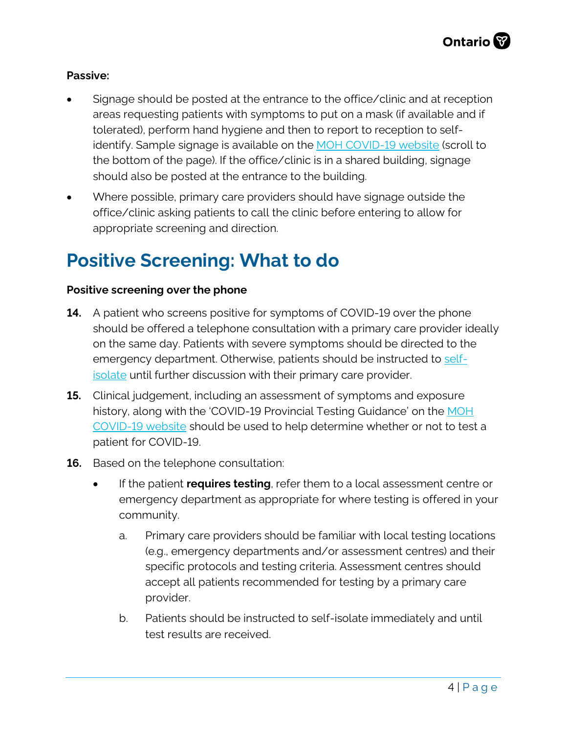#### **Passive:**

- Signage should be posted at the entrance to the office/clinic and at reception areas requesting patients with symptoms to put on a mask (if available and if tolerated), perform hand hygiene and then to report to reception to self-identify. Sample signage is available on the [MOH COVID-19 website](http://www.health.gov.on.ca/en/pro/programs/publichealth/coronavirus/2019_guidance.aspx) (scroll to the bottom of the page). If the office/clinic is in a shared building, signage should also be posted at the entrance to the building.
- Where possible, primary care providers should have signage outside the office/clinic asking patients to call the clinic before entering to allow for appropriate screening and direction.

### **Positive Screening: What to do**

#### **Positive screening over the phone**

- **14.** A patient who screens positive for symptoms of COVID-19 over the phone should be offered a telephone consultation with a primary care provider ideally on the same day. Patients with severe symptoms should be directed to the emergency department. Otherwise, patients should be instructed to [self](https://www.publichealthontario.ca/en/diseases-and-conditions/infectious-diseases/respiratory-diseases/novel-coronavirus/public-resources)[isolate](https://www.publichealthontario.ca/en/diseases-and-conditions/infectious-diseases/respiratory-diseases/novel-coronavirus/public-resources) until further discussion with their primary care provider.
- **15.** Clinical judgement, including an assessment of symptoms and exposure history, along with the 'COVID-19 Provincial Testing Guidance' on the [MOH](http://www.health.gov.on.ca/en/pro/programs/publichealth/coronavirus/2019_guidance.aspx) [COVID-19 website](http://www.health.gov.on.ca/en/pro/programs/publichealth/coronavirus/2019_guidance.aspx) should be used to help determine whether or not to test a patient for COVID-19.
- **16.** Based on the telephone consultation:
	- If the patient **requires testing**, refer them to a local assessment centre or emergency department as appropriate for where testing is offered in your community.
		- a. Primary care providers should be familiar with local testing locations (e.g., emergency departments and/or assessment centres) and their specific protocols and testing criteria. Assessment centres should accept all patients recommended for testing by a primary care provider.
		- b. Patients should be instructed to self-isolate immediately and until test results are received.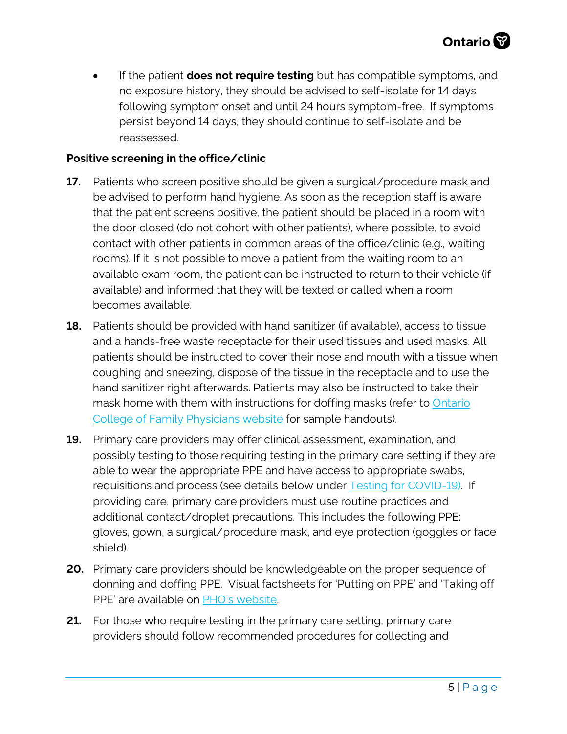• If the patient **does not require testing** but has compatible symptoms, and no exposure history, they should be advised to self-isolate for 14 days following symptom onset and until 24 hours symptom-free. If symptoms persist beyond 14 days, they should continue to self-isolate and be reassessed.

#### **Positive screening in the office/clinic**

- **17.** Patients who screen positive should be given a surgical/procedure mask and be advised to perform hand hygiene. As soon as the reception staff is aware that the patient screens positive, the patient should be placed in a room with the door closed (do not cohort with other patients), where possible, to avoid contact with other patients in common areas of the office/clinic (e.g., waiting rooms). If it is not possible to move a patient from the waiting room to an available exam room, the patient can be instructed to return to their vehicle (if available) and informed that they will be texted or called when a room becomes available.
- **18.** Patients should be provided with hand sanitizer (if available), access to tissue and a hands-free waste receptacle for their used tissues and used masks. All patients should be instructed to cover their nose and mouth with a tissue when coughing and sneezing, dispose of the tissue in the receptacle and to use the hand sanitizer right afterwards. Patients may also be instructed to take their mask home with them with instructions for doffing masks (refer to [Ontario](https://www.ontariofamilyphysicians.ca/tools-resources/timely-trending/novel-coronavirus-2019-ncov) [College of Family Physicians](https://www.ontariofamilyphysicians.ca/tools-resources/timely-trending/novel-coronavirus-2019-ncov) website for sample handouts).
- **19.** Primary care providers may offer clinical assessment, examination, and possibly testing to those requiring testing in the primary care setting if they are able to wear the appropriate PPE and have access to appropriate swabs, requisitions and process (see details below under [Testing for COVID-19\)](#page-5-0). If providing care, primary care providers must use routine practices and additional contact/droplet precautions. This includes the following PPE: gloves, gown, a surgical/procedure mask, and eye protection (goggles or face shield).
- **20.** Primary care providers should be knowledgeable on the proper sequence of donning and doffing PPE. Visual factsheets for 'Putting on PPE' and 'Taking off PPE' are available on [PHO's website.](https://www.publichealthontario.ca/en/diseases-and-conditions/infectious-diseases/respiratory-diseases/novel-coronavirus/health-care-resources)
- **21.** For those who require testing in the primary care setting, primary care providers should follow recommended procedures for collecting and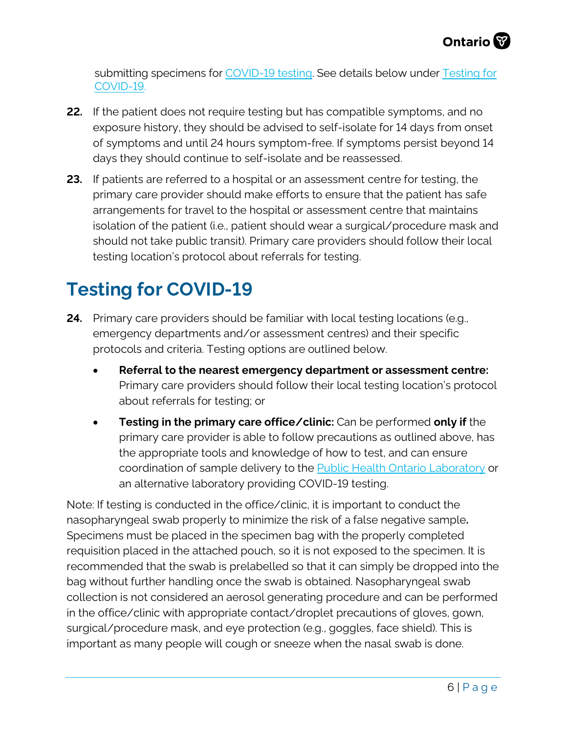submitting specimens for [COVID-19 testing.](https://www.publichealthontario.ca/en/laboratory-services/test-information-index/wuhan-novel-coronavirus) See details below under Testing for COVID-19.

- **22.** If the patient does not require testing but has compatible symptoms, and no exposure history, they should be advised to self-isolate for 14 days from onset of symptoms and until 24 hours symptom-free. If symptoms persist beyond 14 days they should continue to self-isolate and be reassessed.
- **23.** If patients are referred to a hospital or an assessment centre for testing, the primary care provider should make efforts to ensure that the patient has safe arrangements for travel to the hospital or assessment centre that maintains isolation of the patient (i.e., patient should wear a surgical/procedure mask and should not take public transit). Primary care providers should follow their local testing location's protocol about referrals for testing.

### <span id="page-5-0"></span>**Testing for COVID-19**

- **24.** Primary care providers should be familiar with local testing locations (e.g., emergency departments and/or assessment centres) and their specific protocols and criteria. Testing options are outlined below.
	- **Referral to the nearest emergency department or assessment centre:** Primary care providers should follow their local testing location's protocol about referrals for testing; or
	- **Testing in the primary care office/clinic:** Can be performed **only if** the primary care provider is able to follow precautions as outlined above, has the appropriate tools and knowledge of how to test, and can ensure coordination of sample delivery to the [Public Health Ontario Laboratory](https://www.publichealthontario.ca/en/laboratory-services/test-information-index/wuhan-novel-coronavirus) or an alternative laboratory providing COVID-19 testing.

Note: If testing is conducted in the office/clinic, it is important to conduct the nasopharyngeal swab properly to minimize the risk of a false negative sample**.** Specimens must be placed in the specimen bag with the properly completed requisition placed in the attached pouch, so it is not exposed to the specimen. It is recommended that the swab is prelabelled so that it can simply be dropped into the bag without further handling once the swab is obtained. Nasopharyngeal swab collection is not considered an aerosol generating procedure and can be performed in the office/clinic with appropriate contact/droplet precautions of gloves, gown, surgical/procedure mask, and eye protection (e.g., goggles, face shield). This is important as many people will cough or sneeze when the nasal swab is done.